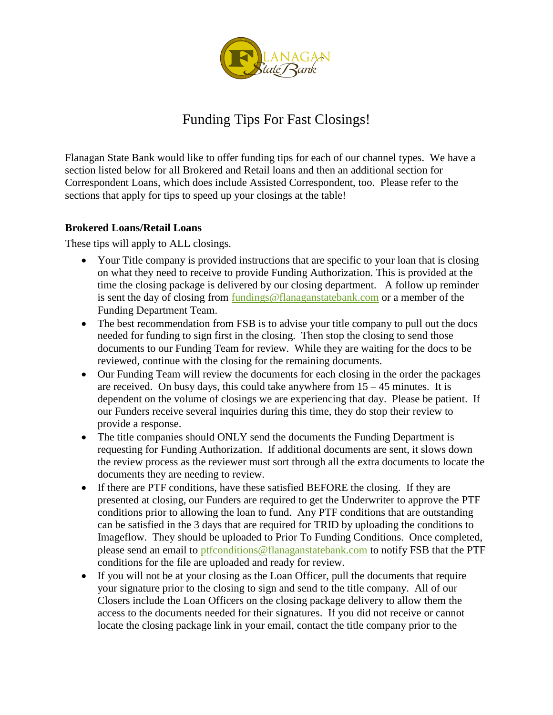

# Funding Tips For Fast Closings!

Flanagan State Bank would like to offer funding tips for each of our channel types. We have a section listed below for all Brokered and Retail loans and then an additional section for Correspondent Loans, which does include Assisted Correspondent, too. Please refer to the sections that apply for tips to speed up your closings at the table!

#### **Brokered Loans/Retail Loans**

These tips will apply to ALL closings.

- Your Title company is provided instructions that are specific to your loan that is closing on what they need to receive to provide Funding Authorization. This is provided at the time the closing package is delivered by our closing department. A follow up reminder is sent the day of closing from [fundings@flanaganstatebank.com](mailto:fundings@flanaganstatebank.com) or a member of the Funding Department Team.
- The best recommendation from FSB is to advise your title company to pull out the docs needed for funding to sign first in the closing. Then stop the closing to send those documents to our Funding Team for review. While they are waiting for the docs to be reviewed, continue with the closing for the remaining documents.
- Our Funding Team will review the documents for each closing in the order the packages are received. On busy days, this could take anywhere from  $15 - 45$  minutes. It is dependent on the volume of closings we are experiencing that day. Please be patient. If our Funders receive several inquiries during this time, they do stop their review to provide a response.
- The title companies should ONLY send the documents the Funding Department is requesting for Funding Authorization. If additional documents are sent, it slows down the review process as the reviewer must sort through all the extra documents to locate the documents they are needing to review.
- If there are PTF conditions, have these satisfied BEFORE the closing. If they are presented at closing, our Funders are required to get the Underwriter to approve the PTF conditions prior to allowing the loan to fund. Any PTF conditions that are outstanding can be satisfied in the 3 days that are required for TRID by uploading the conditions to Imageflow. They should be uploaded to Prior To Funding Conditions. Once completed, please send an email to [ptfconditions@flanaganstatebank.com](mailto:ptfconditions@flanaganstatebank.com) to notify FSB that the PTF conditions for the file are uploaded and ready for review.
- If you will not be at your closing as the Loan Officer, pull the documents that require your signature prior to the closing to sign and send to the title company. All of our Closers include the Loan Officers on the closing package delivery to allow them the access to the documents needed for their signatures. If you did not receive or cannot locate the closing package link in your email, contact the title company prior to the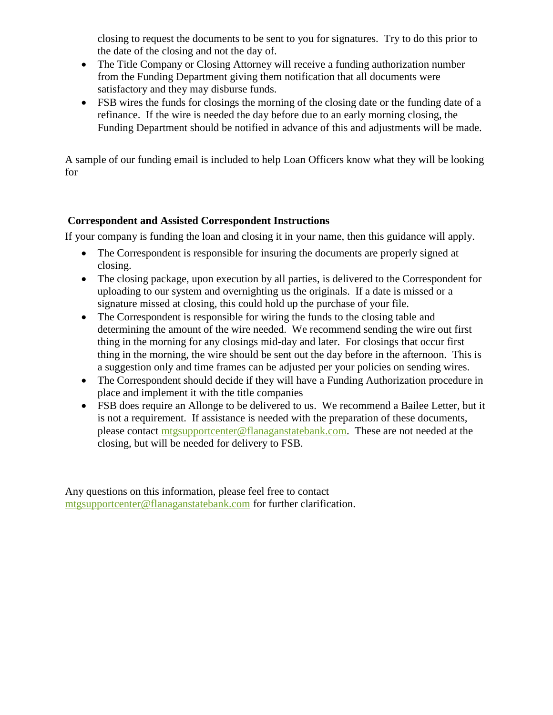closing to request the documents to be sent to you for signatures. Try to do this prior to the date of the closing and not the day of.

- The Title Company or Closing Attorney will receive a funding authorization number from the Funding Department giving them notification that all documents were satisfactory and they may disburse funds.
- FSB wires the funds for closings the morning of the closing date or the funding date of a refinance. If the wire is needed the day before due to an early morning closing, the Funding Department should be notified in advance of this and adjustments will be made.

A sample of our funding email is included to help Loan Officers know what they will be looking for

#### **Correspondent and Assisted Correspondent Instructions**

If your company is funding the loan and closing it in your name, then this guidance will apply.

- The Correspondent is responsible for insuring the documents are properly signed at closing.
- The closing package, upon execution by all parties, is delivered to the Correspondent for uploading to our system and overnighting us the originals. If a date is missed or a signature missed at closing, this could hold up the purchase of your file.
- The Correspondent is responsible for wiring the funds to the closing table and determining the amount of the wire needed. We recommend sending the wire out first thing in the morning for any closings mid-day and later. For closings that occur first thing in the morning, the wire should be sent out the day before in the afternoon. This is a suggestion only and time frames can be adjusted per your policies on sending wires.
- The Correspondent should decide if they will have a Funding Authorization procedure in place and implement it with the title companies
- FSB does require an Allonge to be delivered to us. We recommend a Bailee Letter, but it is not a requirement. If assistance is needed with the preparation of these documents, please contact [mtgsupportcenter@flanaganstatebank.com.](mailto:mtgsupportcenter@flanaganstatebank.com) These are not needed at the closing, but will be needed for delivery to FSB.

Any questions on this information, please feel free to contact [mtgsupportcenter@flanaganstatebank.com](mailto:mtgsupportcenter@flanaganstatebank.com) for further clarification.